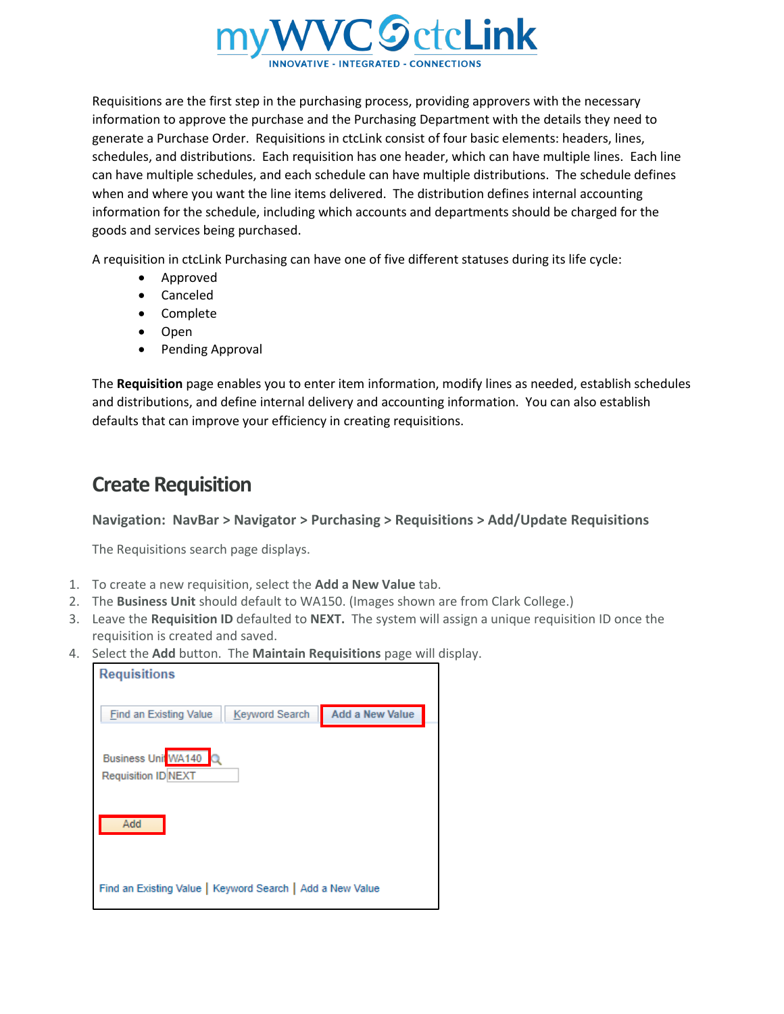

Requisitions are the first step in the purchasing process, providing approvers with the necessary information to approve the purchase and the Purchasing Department with the details they need to generate a Purchase Order. Requisitions in ctcLink consist of four basic elements: headers, lines, schedules, and distributions. Each requisition has one header, which can have multiple lines. Each line can have multiple schedules, and each schedule can have multiple distributions. The schedule defines when and where you want the line items delivered. The distribution defines internal accounting information for the schedule, including which accounts and departments should be charged for the goods and services being purchased.

A requisition in ctcLink Purchasing can have one of five different statuses during its life cycle:

- Approved
- Canceled
- Complete
- Open
- Pending Approval

The **Requisition** page enables you to enter item information, modify lines as needed, establish schedules and distributions, and define internal delivery and accounting information. You can also establish defaults that can improve your efficiency in creating requisitions.

## **Create Requisition**

## **Navigation: NavBar > Navigator > Purchasing > Requisitions > Add/Update Requisitions**

The Requisitions search page displays.

- 1. To create a new requisition, select the **Add a New Value** tab.
- 2. The **Business Unit** should default to WA150. (Images shown are from Clark College.)
- 3. Leave the **Requisition ID** defaulted to **NEXT.** The system will assign a unique requisition ID once the requisition is created and saved.
- 4. Select the **Add** button. The **Maintain Requisitions** page will display.

| <b>Requisitions</b>                                       |                        |
|-----------------------------------------------------------|------------------------|
| <b>Keyword Search</b><br>Find an Existing Value           | <b>Add a New Value</b> |
| Business Unit WA140<br>Requisition ID NEXT                |                        |
| Add                                                       |                        |
| Find an Existing Value   Keyword Search   Add a New Value |                        |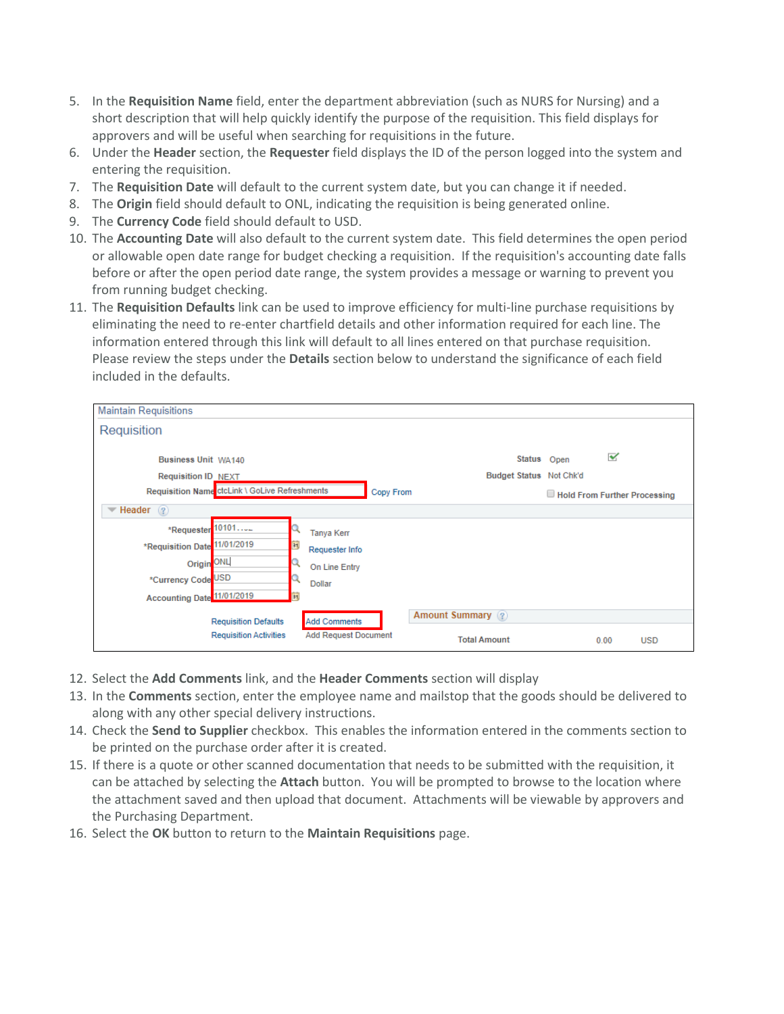- 5. In the **Requisition Name** field, enter the department abbreviation (such as NURS for Nursing) and a short description that will help quickly identify the purpose of the requisition. This field displays for approvers and will be useful when searching for requisitions in the future.
- 6. Under the **Header** section, the **Requester** field displays the ID of the person logged into the system and entering the requisition.
- 7. The **Requisition Date** will default to the current system date, but you can change it if needed.
- 8. The **Origin** field should default to ONL, indicating the requisition is being generated online.
- 9. The **Currency Code** field should default to USD.
- 10. The **Accounting Date** will also default to the current system date. This field determines the open period or allowable open date range for budget checking a requisition. If the requisition's accounting date falls before or after the open period date range, the system provides a message or warning to prevent you from running budget checking.
- 11. The **Requisition Defaults** link can be used to improve efficiency for multi-line purchase requisitions by eliminating the need to re-enter chartfield details and other information required for each line. The information entered through this link will default to all lines entered on that purchase requisition. Please review the steps under the **Details** section below to understand the significance of each field included in the defaults.

| <b>Maintain Requisitions</b>                                                                                                               |                                                                                                 |                              |
|--------------------------------------------------------------------------------------------------------------------------------------------|-------------------------------------------------------------------------------------------------|------------------------------|
| Requisition                                                                                                                                |                                                                                                 |                              |
| <b>Business Unit WA140</b><br><b>Requisition ID NEXT</b>                                                                                   | Budget Status Not Chk'd                                                                         | ✔<br>Status Open             |
| Requisition Name ctcLink \ GoLive Refreshments                                                                                             | Copy From                                                                                       | Hold From Further Processing |
| Header $(2)$<br>┯                                                                                                                          |                                                                                                 |                              |
| *Requester 10101<br>*Requisition Date 11/01/2019<br><b>B1</b><br>Origin <sup>ONL</sup><br>*Currency Code USD<br>Accounting Date 11/01/2019 | <b>Tanya Kerr</b><br>Requester Info<br>On Line Entry<br><b>Dollar</b>                           |                              |
| <b>Requisition Defaults</b><br><b>Requisition Activities</b>                                                                               | Amount Summary (?)<br><b>Add Comments</b><br><b>Add Request Document</b><br><b>Total Amount</b> | 0.00<br><b>USD</b>           |

- 12. Select the **Add Comments** link, and the **Header Comments** section will display
- 13. In the **Comments** section, enter the employee name and mailstop that the goods should be delivered to along with any other special delivery instructions.
- 14. Check the **Send to Supplier** checkbox. This enables the information entered in the comments section to be printed on the purchase order after it is created.
- 15. If there is a quote or other scanned documentation that needs to be submitted with the requisition, it can be attached by selecting the **Attach** button. You will be prompted to browse to the location where the attachment saved and then upload that document. Attachments will be viewable by approvers and the Purchasing Department.
- 16. Select the **OK** button to return to the **Maintain Requisitions** page.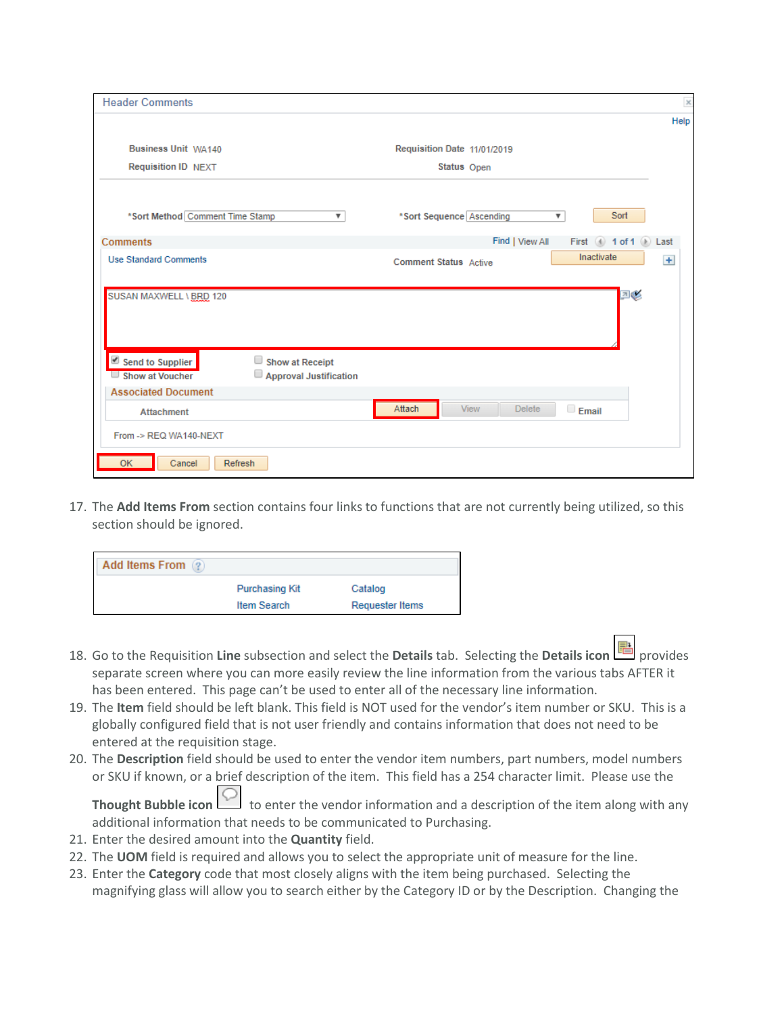| <b>Header Comments</b>                                                                  |                                                               | ×    |
|-----------------------------------------------------------------------------------------|---------------------------------------------------------------|------|
|                                                                                         |                                                               | Help |
| Business Unit WA140                                                                     | Requisition Date 11/01/2019                                   |      |
| <b>Requisition ID NEXT</b>                                                              | Status Open                                                   |      |
| *Sort Method Comment Time Stamp<br>$\boldsymbol{\mathrm{v}}$                            | Sort<br>*Sort Sequence Ascending<br>$\boldsymbol{\mathrm{v}}$ |      |
| <b>Comments</b>                                                                         | Find   View All<br>First (4) 1 of 1 (b) Last                  |      |
| <b>Use Standard Comments</b>                                                            | Inactivate<br><b>Comment Status</b> Active                    | $+$  |
| SUSAN MAXWELL \ BRD 120                                                                 | 四彩                                                            |      |
| Send to Supplier<br>Show at Receipt<br>Approval Justification<br>$\Box$ Show at Voucher |                                                               |      |
| <b>Associated Document</b>                                                              |                                                               |      |
| <b>Attachment</b>                                                                       | Attach<br><b>View</b><br><b>Delete</b><br>$\Box$ Email        |      |
| From -> REQ WA140-NEXT                                                                  |                                                               |      |
| <b>OK</b><br><b>Refresh</b><br>Cancel                                                   |                                                               |      |

17. The **Add Items From** section contains four links to functions that are not currently being utilized, so this section should be ignored.

| <b>Add Items From</b><br>$^{2}$ |                       |                 |
|---------------------------------|-----------------------|-----------------|
|                                 | <b>Purchasing Kit</b> | Catalog         |
|                                 | <b>Item Search</b>    | Requester Items |

- 18. Go to the Requisition **Line** subsection and select the **Details** tab. Selecting the **Details icon** provides separate screen where you can more easily review the line information from the various tabs AFTER it has been entered. This page can't be used to enter all of the necessary line information.
- 19. The **Item** field should be left blank. This field is NOT used for the vendor's item number or SKU. This is a globally configured field that is not user friendly and contains information that does not need to be entered at the requisition stage.
- 20. The **Description** field should be used to enter the vendor item numbers, part numbers, model numbers or SKU if known, or a brief description of the item. This field has a 254 character limit. Please use the

**Thought Bubble icon C** to enter the vendor information and a description of the item along with any additional information that needs to be communicated to Purchasing.

- 21. Enter the desired amount into the **Quantity** field.
- 22. The **UOM** field is required and allows you to select the appropriate unit of measure for the line.
- 23. Enter the **Category** code that most closely aligns with the item being purchased. Selecting the magnifying glass will allow you to search either by the Category ID or by the Description. Changing the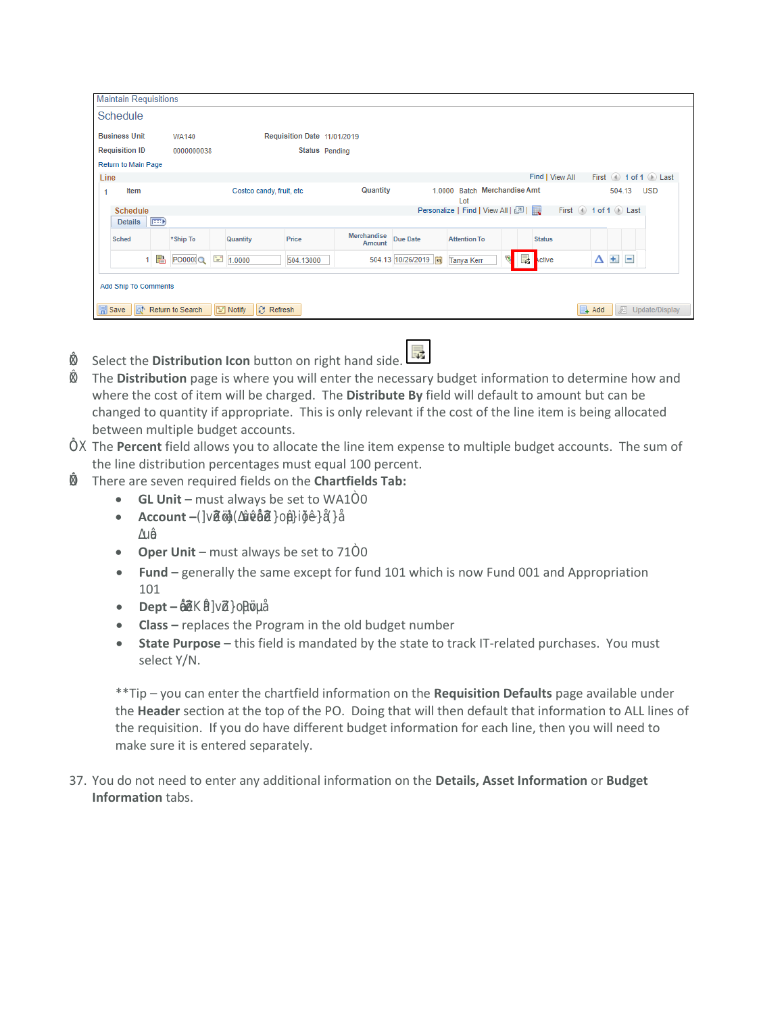|               | <b>Maintain Requisitions</b>                     |             |                  |                |                             |                             |                              |                      |                                   |                        |                 |            |                         |            |
|---------------|--------------------------------------------------|-------------|------------------|----------------|-----------------------------|-----------------------------|------------------------------|----------------------|-----------------------------------|------------------------|-----------------|------------|-------------------------|------------|
|               | Schedule                                         |             |                  |                |                             |                             |                              |                      |                                   |                        |                 |            |                         |            |
|               | <b>Business Unit</b>                             |             | <b>WA140</b>     |                |                             | Requisition Date 11/01/2019 |                              |                      |                                   |                        |                 |            |                         |            |
|               | <b>Requisition ID</b>                            |             | 0000000038       |                |                             | <b>Status</b> Pending       |                              |                      |                                   |                        |                 |            |                         |            |
|               | Return to Main Page                              |             |                  |                |                             |                             |                              |                      |                                   |                        |                 |            |                         |            |
| Line          |                                                  |             |                  |                |                             |                             |                              |                      |                                   |                        | Find   View All |            | First 1 of 1 D Last     |            |
|               | Item                                             |             |                  |                | Costco candy, fruit, etc.   |                             | Quantity                     | 1.0000               | <b>Batch</b><br>Lot               | <b>Merchandise Amt</b> |                 |            | 504.13                  | <b>USD</b> |
|               | <b>Schedule</b>                                  |             |                  |                |                             |                             |                              |                      | Personalize   Find   View All   4 |                        |                 |            | First 1 of 1 D Last     |            |
|               | <b>Details</b>                                   | $\boxed{=}$ |                  |                |                             |                             |                              |                      |                                   |                        |                 |            |                         |            |
|               | <b>Sched</b>                                     |             | *Ship To         |                | Quantity                    | Price                       | <b>Merchandise</b><br>Amount | Due Date             | <b>Attention To</b>               |                        | <b>Status</b>   |            |                         |            |
|               |                                                  | ▛           | PO000(Q          | $\mathbb{R}^*$ | 1.0000                      | 504.13000                   |                              | 504.13 10/26/2019  司 | <b>Tanya Kerr</b>                 | 最<br>US)               | ctive           | Δ          | $+$ $-$                 |            |
| <b>B</b> Save | <b>Add Ship To Comments</b><br>llat <sup>*</sup> |             | Return to Search |                | F Notify<br>$\odot$ Refresh |                             |                              |                      |                                   |                        |                 | $\Box$ Add | <b>四</b> Update/Display |            |

Select the **Distribution Icon** button on right hand side.

- The Distribution page is where you will enter the necessary budget information to determine how and where the cost of item will be charged. The Distribute By field will default to amount but can be changed to quantity if appropriate. This is only relevant if the cost of the line item is being allocated between multiple budget accounts.
	- K The Percent field allows you to allocate the line item expense to multiple budget accounts. The sum of the line distribution percentages must equal 100 percent.
	- K There are seven required fields on the Chartfields Tab:
		- GL Unit must always be set to WA10
		- Account e ne t et peo e pen e n ep ce t eo u o ect co e Ao A o p e  $\mathsf{e}$
		- Oper Unit must always be set to 710
		- Fund generally the same except for fund 101 which is now Fund 001 and Appropriation 101
		- $\bullet$  Dept-ep ce te nt eo u et nu  $\epsilon$
		- Class replaces the Program in the old budget number
		- State Purpose this field is mandated by the state to track IT-related purchases. You must select Y/N.

\*\*Tip - you can enter the chartfield information on the Requisition Defaults page available under the Header section at the top of the PO. Doing that will then default that information to ALL lines of the requisition. If you do have different budget information for each line, then you will need to make sure it is entered separately.

37. You do not need to enter any additional information on the Details, Asset Information or Budget Information tabs.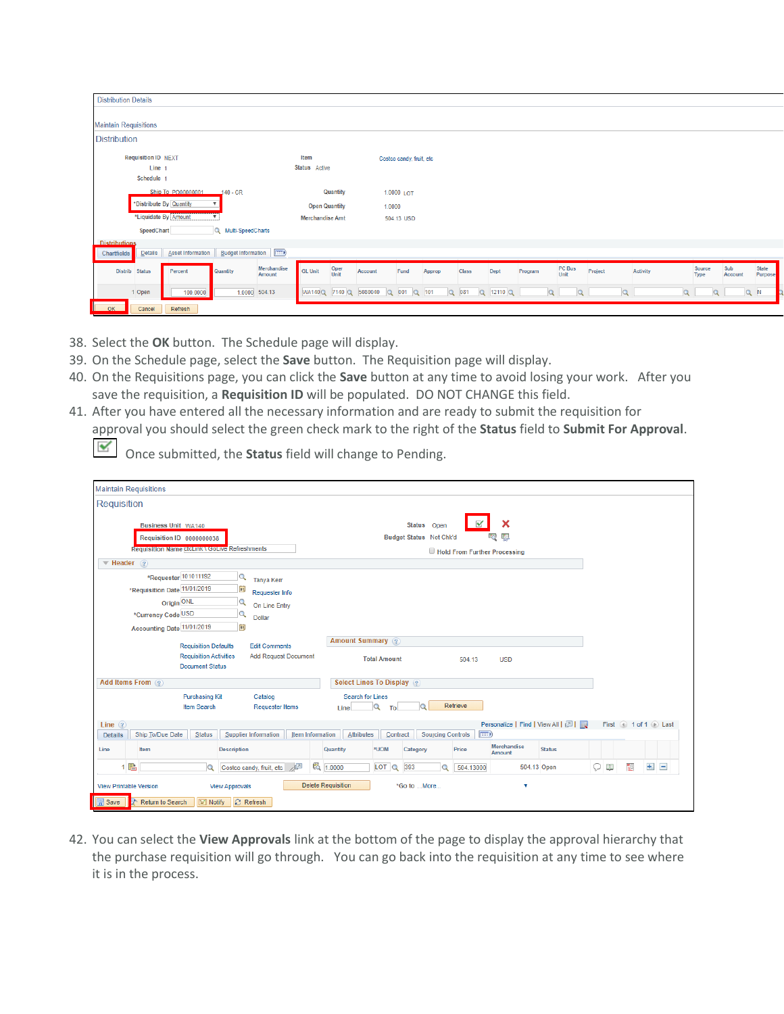| <b>Distribution Details</b>                                                     |                                |                                   |                 |               |                           |          |                  |                                                     |
|---------------------------------------------------------------------------------|--------------------------------|-----------------------------------|-----------------|---------------|---------------------------|----------|------------------|-----------------------------------------------------|
|                                                                                 |                                |                                   |                 |               |                           |          |                  |                                                     |
| <b>Maintain Requisitions</b>                                                    |                                |                                   |                 |               |                           |          |                  |                                                     |
| <b>Distribution</b>                                                             |                                |                                   |                 |               |                           |          |                  |                                                     |
| <b>Requisition ID NEXT</b>                                                      | Item                           | Costco candy, fruit, etc          |                 |               |                           |          |                  |                                                     |
| Line -                                                                          | Status Active                  |                                   |                 |               |                           |          |                  |                                                     |
| Schedule 1                                                                      |                                |                                   |                 |               |                           |          |                  |                                                     |
| Ship To PO00000001<br>$140 - CR$                                                | Quantity                       | 1.0000 LOT                        |                 |               |                           |          |                  |                                                     |
| *Distribute By Quantity                                                         | <b>Open Quantity</b>           | 1.0000                            |                 |               |                           |          |                  |                                                     |
| *Liquidate By Amount                                                            | <b>Merchandise Amt</b>         | 504.13 USD                        |                 |               |                           |          |                  |                                                     |
| SpeedChart<br>Q Multi-SpeedCharts                                               |                                |                                   |                 |               |                           |          |                  |                                                     |
| <b>Distributions</b>                                                            |                                |                                   |                 |               |                           |          |                  |                                                     |
| <b>Budget Information</b><br>Details<br><b>Asset Information</b><br>Chartfields |                                |                                   |                 |               |                           |          |                  |                                                     |
| Merchandise<br>Distrib Status<br>Percent<br>Quantity<br>Amount                  | Oper<br>Unit<br><b>GL Unit</b> | Account<br>Fund                   | Class<br>Approp | Dept          | PC Bus<br>Unit<br>Program | Project  | Activity<br>Type | Sub<br><b>State</b><br>Source<br>Account<br>Purpose |
| 1.0000 504.13<br>1 Open<br>100.0000                                             |                                | WA140Q 7140 Q 5080040 Q 001 Q 101 | Q 081           | $Q$ 12110 $Q$ | Q<br>$\Omega$             | $\alpha$ | $\mathbf{Q}$     | $Q$ $N$<br>Q                                        |
| OK<br>Cancel<br>Refresh                                                         |                                |                                   |                 |               |                           |          |                  |                                                     |

- 38. Select the **OK** button. The Schedule page will display.
- 39. On the Schedule page, select the **Save** button. The Requisition page will display.
- 40. On the Requisitions page, you can click the **Save** button at any time to avoid losing your work. After you save the requisition, a **Requisition ID** will be populated. DO NOT CHANGE this field.
- 41. After you have entered all the necessary information and are ready to submit the requisition for approval you should select the green check mark to the right of the **Status** field to **Submit For Approval**.

Once submitted, the **Status** field will change to Pending.

| <b>Maintain Requisitions</b>                                                     |                                                                                        |                                                                                      |                                               |                            |                                        |                              |                                   |               |         |        |                     |                   |
|----------------------------------------------------------------------------------|----------------------------------------------------------------------------------------|--------------------------------------------------------------------------------------|-----------------------------------------------|----------------------------|----------------------------------------|------------------------------|-----------------------------------|---------------|---------|--------|---------------------|-------------------|
| Requisition                                                                      |                                                                                        |                                                                                      |                                               |                            |                                        |                              |                                   |               |         |        |                     |                   |
| Business Unit WA140<br>$\blacktriangledown$ Header $\binom{2}{3}$                | Requisition ID 0000000038<br><b>Requisition Name CtcLink \ GoLive Refreshments</b>     |                                                                                      |                                               |                            | Status Open<br>Budget Status Not Chk'd | Hold From Further Processing | 醥                                 |               |         |        |                     |                   |
| *Requisition Date 11/01/2019<br>*Currency Code USD<br>Accounting Date 11/01/2019 | *Requester 101011192<br>Q<br>同<br>Origin ONL<br>Q<br>$\overline{Q}$<br>E               | <b>Tanya Kerr</b><br>Requester Info<br>On Line Entry<br><b>Dollar</b>                |                                               |                            |                                        |                              |                                   |               |         |        |                     |                   |
|                                                                                  | <b>Requisition Defaults</b><br><b>Requisition Activities</b><br><b>Document Status</b> | <b>Edit Comments</b><br><b>Add Request Document</b>                                  | Amount Summary 2                              | <b>Total Amount</b>        |                                        | 504.13                       | <b>USD</b>                        |               |         |        |                     |                   |
| Add Items From 2                                                                 |                                                                                        |                                                                                      | Select Lines To Display (?)                   |                            |                                        |                              |                                   |               |         |        |                     |                   |
| Line $(2)$<br>Ship To/Due Date                                                   | <b>Purchasing Kit</b><br>Item Search<br><b>Status</b>                                  | Catalog<br><b>Requester Items</b><br><b>Item Information</b><br>Supplier Information | <b>Search for Lines</b><br>Line<br>Attributes | $\alpha$<br>To<br>Contract | <b>Sourcing Controls</b>               | Retrieve<br><b>EHD</b>       | Personalize   Find   View All   2 |               |         |        | First 1 of 1 D Last |                   |
| <b>Details</b><br>Item<br>Line                                                   | <b>Description</b>                                                                     |                                                                                      | Quantity                                      | *UOM                       | Category                               | Price                        | Merchandise<br>Amount             | <b>Status</b> |         |        |                     |                   |
| 1 階                                                                              | $\alpha$                                                                               | 교<br>Costco candy, fruit, etc                                                        | 图 1.0000                                      | LOT Q                      | 393<br>$\Omega$                        | 504.13000                    | 504.13 Open                       |               | $\circ$ | $\Box$ | $\pm$<br><b>R</b>   | $\qquad \qquad =$ |
| <b>View Printable Version</b><br><b>Save</b><br>Return to Search                 | <b>View Approvals</b><br>$\boxed{=}$ Notify                                            | <b>C</b> Refresh                                                                     | <b>Delete Requisition</b>                     |                            | *Go to More                            |                              | v                                 |               |         |        |                     |                   |

42. You can select the **View Approvals** link at the bottom of the page to display the approval hierarchy that the purchase requisition will go through. You can go back into the requisition at any time to see where it is in the process.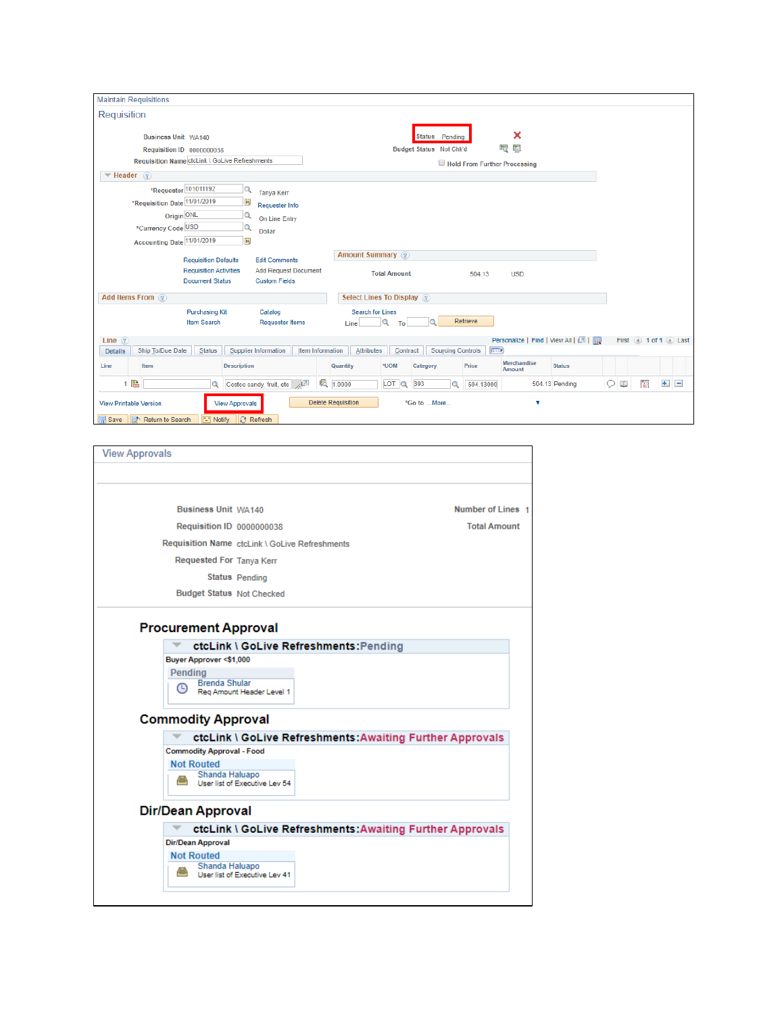| <b>Maintain Requisitions</b>                                                                                                                                                       |                                                                       |                                 |                     |                                           |                              |                              |                                   |        |           |                       |
|------------------------------------------------------------------------------------------------------------------------------------------------------------------------------------|-----------------------------------------------------------------------|---------------------------------|---------------------|-------------------------------------------|------------------------------|------------------------------|-----------------------------------|--------|-----------|-----------------------|
| Requisition                                                                                                                                                                        |                                                                       |                                 |                     |                                           |                              |                              |                                   |        |           |                       |
| Business Unit WA140<br>Requisition ID 0000000038<br>Requisition Name ctcLink \ GoLive Refreshments                                                                                 |                                                                       |                                 |                     | Status Pending<br>Budget Status Not Chk'd | Hold From Further Processing | ×<br>磦<br>iig.               |                                   |        |           |                       |
| $\blacktriangledown$ Header $(2)$                                                                                                                                                  |                                                                       |                                 |                     |                                           |                              |                              |                                   |        |           |                       |
| *Requester 101011192<br>$\overline{a}$<br>*Requisition Date 11/01/2019<br>$\overline{\mathbf{B}}$<br>Origin ONL<br>Q<br>*Currency Code USD<br>Q<br>Accounting Date 11/01/2019<br>同 | <b>Tanya Kerr</b><br>Requester Info<br>On Line Entry<br><b>Dollar</b> |                                 |                     |                                           |                              |                              |                                   |        |           |                       |
| <b>Requisition Defaults</b>                                                                                                                                                        | <b>Edit Comments</b>                                                  | Amount Summary ?                |                     |                                           |                              |                              |                                   |        |           |                       |
| <b>Requisition Activities</b><br><b>Document Status</b>                                                                                                                            | <b>Add Request Document</b><br><b>Custom Fields</b>                   |                                 | <b>Total Amount</b> |                                           | 504.13                       | <b>USD</b>                   |                                   |        |           |                       |
| Add Items From 2                                                                                                                                                                   |                                                                       | Select Lines To Display 2       |                     |                                           |                              |                              |                                   |        |           |                       |
| <b>Purchasing Kit</b><br><b>Item Search</b>                                                                                                                                        | Catalog<br><b>Requester Items</b>                                     | <b>Search for Lines</b><br>Line | Q<br>To             |                                           | Retrieve                     |                              |                                   |        |           |                       |
| Line $(2)$                                                                                                                                                                         |                                                                       |                                 |                     |                                           |                              |                              | Personalize   Find   View All   2 |        |           | First 4 1 of 1 1 Last |
| Ship To/Due Date<br><b>Status</b><br>Supplier Information<br><b>Details</b><br>Item<br>Description<br>Line                                                                         | <b>Item Information</b>                                               | Attributes<br>Quantity          | Contract<br>*UOM    | <b>Sourcing Controls</b><br>Category      | <b>EXP</b><br>Price          | <b>Merchandise</b><br>Amount | <b>Status</b>                     |        |           |                       |
| 1 唱                                                                                                                                                                                | 暍<br>Costco candy, fruit, etc /                                       | 1.0000                          | LOT Q               | 393<br>$\alpha$                           | 504.13000                    |                              | 504.13 Pending                    | Q<br>Œ | <b>RO</b> | $+$<br>$\equiv$       |
| <b>View Printable Version</b><br><b>View Approvals</b><br><b>同</b> Save<br>a <sup>+</sup> Return to Search<br>Refresh<br><b>Notify</b><br>B.                                       |                                                                       | <b>Delete Requisition</b>       |                     | *Go to More                               |                              | v                            |                                   |        |           |                       |

| <b>View Approvals</b>    |                                                   |                                                           |  |
|--------------------------|---------------------------------------------------|-----------------------------------------------------------|--|
|                          |                                                   |                                                           |  |
|                          |                                                   |                                                           |  |
|                          | <b>Business Unit WA140</b>                        | Number of Lines 1                                         |  |
|                          | <b>Requisition ID 0000000038</b>                  | <b>Total Amount</b>                                       |  |
|                          | Requisition Name ctcLink \ GoLive Refreshments    |                                                           |  |
|                          | Requested For Tanya Kerr                          |                                                           |  |
|                          | Status Pending                                    |                                                           |  |
|                          | <b>Budget Status Not Checked</b>                  |                                                           |  |
|                          |                                                   |                                                           |  |
|                          | <b>Procurement Approval</b>                       |                                                           |  |
|                          |                                                   | ctcLink \ GoLive Refreshments:Pending                     |  |
|                          | Buyer Approver <\$1,000                           |                                                           |  |
| Pending                  |                                                   |                                                           |  |
| $\circ$                  | <b>Brenda Shular</b><br>Reg Amount Header Level 1 |                                                           |  |
|                          |                                                   |                                                           |  |
|                          | <b>Commodity Approval</b>                         |                                                           |  |
|                          |                                                   | ctcLink \ GoLive Refreshments: Awaiting Further Approvals |  |
|                          | <b>Commodity Approval - Food</b>                  |                                                           |  |
| <b>Not Routed</b>        |                                                   |                                                           |  |
|                          | Shanda Haluapo<br>User list of Executive Lev 54   |                                                           |  |
|                          |                                                   |                                                           |  |
| <b>Dir/Dean Approval</b> |                                                   |                                                           |  |
|                          |                                                   | ctcLink \ GoLive Refreshments: Awaiting Further Approvals |  |
| Dir/Dean Approval        |                                                   |                                                           |  |
| <b>Not Routed</b>        |                                                   |                                                           |  |
|                          | Shanda Haluapo<br>User list of Executive Lev 41   |                                                           |  |
|                          |                                                   |                                                           |  |
|                          |                                                   |                                                           |  |
|                          |                                                   |                                                           |  |